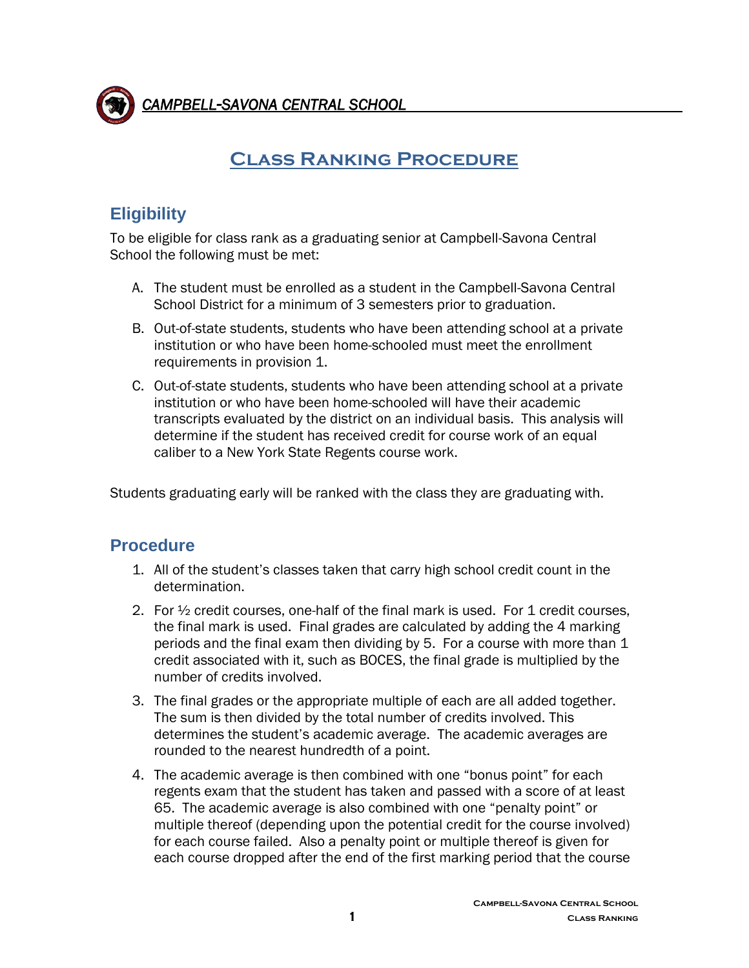

 *CAMPBELL-SAVONA CENTRAL SCHOOL* 

## **Class Ranking Procedure**

## **Eligibility**

To be eligible for class rank as a graduating senior at Campbell-Savona Central School the following must be met:

- A. The student must be enrolled as a student in the Campbell-Savona Central School District for a minimum of 3 semesters prior to graduation.
- B. Out-of-state students, students who have been attending school at a private institution or who have been home-schooled must meet the enrollment requirements in provision 1.
- C. Out-of-state students, students who have been attending school at a private institution or who have been home-schooled will have their academic transcripts evaluated by the district on an individual basis. This analysis will determine if the student has received credit for course work of an equal caliber to a New York State Regents course work.

Students graduating early will be ranked with the class they are graduating with.

## **Procedure**

- 1. All of the student's classes taken that carry high school credit count in the determination.
- 2. For  $\frac{1}{2}$  credit courses, one-half of the final mark is used. For 1 credit courses, the final mark is used. Final grades are calculated by adding the 4 marking periods and the final exam then dividing by 5. For a course with more than 1 credit associated with it, such as BOCES, the final grade is multiplied by the number of credits involved.
- 3. The final grades or the appropriate multiple of each are all added together. The sum is then divided by the total number of credits involved. This determines the student's academic average. The academic averages are rounded to the nearest hundredth of a point.
- 4. The academic average is then combined with one "bonus point" for each regents exam that the student has taken and passed with a score of at least 65. The academic average is also combined with one "penalty point" or multiple thereof (depending upon the potential credit for the course involved) for each course failed. Also a penalty point or multiple thereof is given for each course dropped after the end of the first marking period that the course